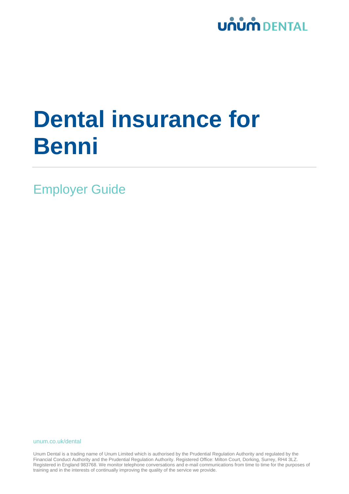

# **Dental insurance for Benni**

Employer Guide

unum.co.uk/dental

Unum Dental is a trading name of Unum Limited which is authorised by the Prudential Regulation Authority and regulated by the Financial Conduct Authority and the Prudential Regulation Authority. Registered Office: Milton Court, Dorking, Surrey, RH4 3LZ. Registered in England 983768. We monitor telephone conversations and e-mail communications from time to time for the purposes of training and in the interests of continually improving the quality of the service we provide.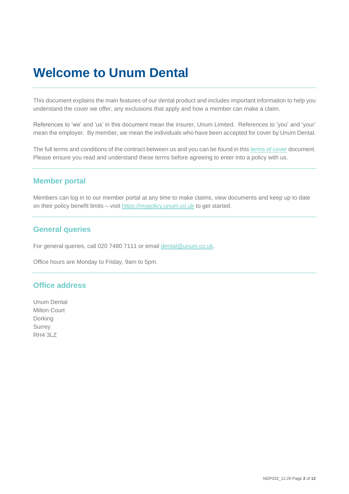### **Welcome to Unum Dental**

This document explains the main features of our dental product and includes important information to help you understand the cover we offer, any exclusions that apply and how a member can make a claim.

References to 'we' and 'us' in this document mean the insurer, Unum Limited. References to 'you' and 'your' mean the employer. By member, we mean the individuals who have been accepted for cover by Unum Dental.

The full terms and conditions of the contract between us and you can be found in thi[s terms of cover](http://resources.unum.co.uk/downloads/NDP272_01.18.pdf) document. Please ensure you read and understand these terms before agreeing to enter into a policy with us.

#### **Member portal**

Members can log in to our member portal at any time to make claims, view documents and keep up to date on their policy benefit limits – visit https://mypolicy.unum.co.uk to get started.

#### **General queries**

For general queries, call 020 7480 7111 or email [dental@unum.co.uk.](mailto:dental@unum.co.uk)

Office hours are Monday to Friday, 9am to 5pm.

#### **Office address**

Unum Dental Milton Court Dorking Surrey RH4 3LZ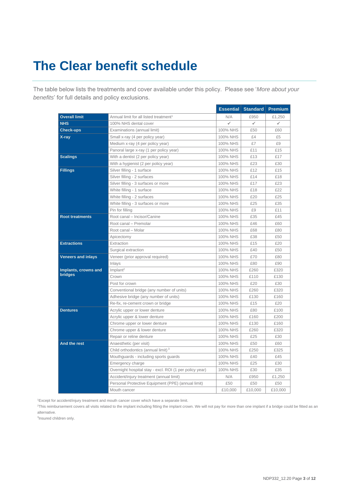# **The Clear benefit schedule**

The table below lists the treatments and cover available under this policy. Please see '*More about your benefits*' for full details and policy exclusions.

|                                 |                                                         |          | <b>Essential Standard</b> | <b>Premium</b> |
|---------------------------------|---------------------------------------------------------|----------|---------------------------|----------------|
| <b>Overall limit</b>            | Annual limit for all listed treatment <sup>1</sup>      | N/A      | £950                      | £1,250         |
| <b>NHS</b>                      | 100% NHS dental cover                                   | ✓        | $\checkmark$              | ✓              |
| <b>Check-ups</b>                | Examinations (annual limit)                             | 100% NHS | £50                       | £60            |
| X-ray                           | Small x-ray (4 per policy year)                         | 100% NHS | £4                        | £5             |
|                                 | Medium x-ray (4 per policy year)                        | 100% NHS | £7                        | £9             |
|                                 | Panoral large x-ray (1 per policy year)                 | 100% NHS | £11                       | £15            |
| <b>Scalings</b>                 | With a dentist (2 per policy year)                      | 100% NHS | £13                       | £17            |
|                                 | With a hygienist (2 per policy year)                    | 100% NHS | £23                       | £30            |
| <b>Fillings</b>                 | Silver filling - 1 surface                              | 100% NHS | £12                       | £15            |
|                                 | Silver filling - 2 surfaces                             | 100% NHS | £14                       | £18            |
|                                 | Silver filling - 3 surfaces or more                     | 100% NHS | £17                       | £23            |
|                                 | White filling - 1 surface                               | 100% NHS | £18                       | £22            |
|                                 | White filling - 2 surfaces                              | 100% NHS | £20                       | £25            |
|                                 | White filling - 3 surfaces or more                      | 100% NHS | £25                       | £35            |
|                                 | Pin for filling                                         | 100% NHS | £9                        | £11            |
| <b>Root treatments</b>          | Root canal - Incisor/Canine                             | 100% NHS | £35                       | £45            |
|                                 | Root canal - Premolar                                   | 100% NHS | £46                       | £60            |
|                                 | Root canal - Molar                                      | 100% NHS | £68                       | £80            |
|                                 | Apicectomy                                              | 100% NHS | £38                       | £50            |
| <b>Extractions</b>              | Extraction                                              | 100% NHS | £15                       | £20            |
|                                 | Surgical extraction                                     | 100% NHS | £40                       | £50            |
| <b>Veneers and inlays</b>       | Veneer (prior approval required)                        | 100% NHS | £70                       | £80            |
|                                 | Inlays                                                  | 100% NHS | £80                       | £90            |
| Implants, crowns and<br>bridges | Implant <sup>2</sup>                                    | 100% NHS | £260                      | £320           |
|                                 | Crown                                                   | 100% NHS | £110                      | £130           |
|                                 | Post for crown                                          | 100% NHS | £20                       | £30            |
|                                 | Conventional bridge (any number of units)               | 100% NHS | £260                      | £320           |
|                                 | Adhesive bridge (any number of units)                   | 100% NHS | £130                      | £160           |
|                                 | Re-fix, re-cement crown or bridge                       | 100% NHS | £15                       | £20            |
| <b>Dentures</b>                 | Acrylic upper or lower denture                          | 100% NHS | £80                       | £100           |
|                                 | Acrylic upper & lower denture                           | 100% NHS | £160                      | £200           |
|                                 | Chrome upper or lower denture                           | 100% NHS | £130                      | £160           |
|                                 | Chrome upper & lower denture                            | 100% NHS | £260                      | £320           |
|                                 | Repair or reline denture                                | 100% NHS | £25                       | £30            |
| And the rest                    | Anaesthetic (per visit)                                 | 100% NHS | £50                       | £60            |
|                                 | Child orthodontics (annual limit) <sup>3</sup>          | 100% NHS | £250                      | £325           |
|                                 | Mouthguards - including sports guards                   | 100% NHS | £40                       | £45            |
|                                 | Emergency charge                                        | 100% NHS | £25                       | £30            |
|                                 | Overnight hospital stay - excl. ROI (1 per policy year) | 100% NHS | £30                       | £35            |
|                                 | Accident/injury treatment (annual limit)                | N/A      | £950                      | £1.250         |
|                                 | Personal Protective Equipment (PPE) (annual limit)      | £50      | £50                       | £50            |
|                                 | Mouth cancer                                            | £10,000  | £10.000                   | £10.000        |

<sup>1</sup>Except for accident/injury treatment and mouth cancer cover which have a separate limit.

<sup>2</sup>This reimbursement covers all visits related to the implant including fitting the implant crown. We will not pay for more than one implant if a bridge could be fitted as an alternative.

3 Insured children only.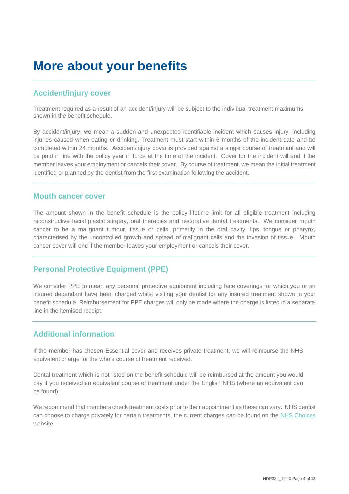### **More about your benefits**

#### **Accident/injury cover**

Treatment required as a result of an accident/injury will be subject to the individual treatment maximums shown in the benefit schedule.

By accident/injury, we mean a sudden and unexpected identifiable incident which causes injury, including injuries caused when eating or drinking. Treatment must start within 6 months of the incident date and be completed within 24 months. Accident/injury cover is provided against a single course of treatment and will be paid in line with the policy year in force at the time of the incident. Cover for the incident will end if the member leaves your employment or cancels their cover. By course of treatment, we mean the initial treatment identified or planned by the dentist from the first examination following the accident.

#### **Mouth cancer cover**

The amount shown in the benefit schedule is the policy lifetime limit for all eligible treatment including reconstructive facial plastic surgery, oral therapies and restorative dental treatments. We consider mouth cancer to be a malignant tumour, tissue or cells, primarily in the oral cavity, lips, tongue or pharynx, characterised by the uncontrolled growth and spread of malignant cells and the invasion of tissue. Mouth cancer cover will end if the member leaves your employment or cancels their cover.

#### **Personal Protective Equipment (PPE)**

We consider PPE to mean any personal protective equipment including face coverings for which you or an insured dependant have been charged whilst visiting your dentist for any insured treatment shown in your benefit schedule. Reimbursement for PPE charges will only be made where the charge is listed in a separate line in the itemised receipt.

#### **Additional information**

If the member has chosen Essential cover and receives private treatment, we will reimburse the NHS equivalent charge for the whole course of treatment received.

Dental treatment which is not listed on the benefit schedule will be reimbursed at the amount you would pay if you received an equivalent course of treatment under the English NHS (where an equivalent can be found).

We recommend that members check treatment costs prior to their appointment as these can vary. NHS dentist can choose to charge privately for certain treatments, the current charges can be found on the [NHS Choices](https://www.nhs.uk/pages/home.aspx) website.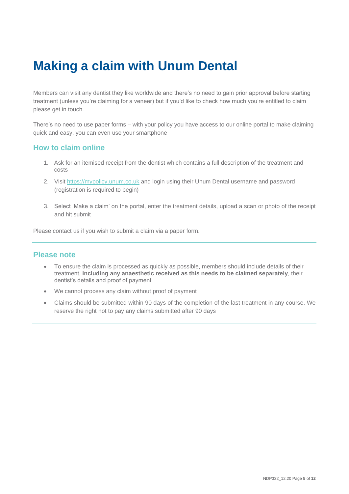## **Making a claim with Unum Dental**

Members can visit any dentist they like worldwide and there's no need to gain prior approval before starting treatment (unless you're claiming for a veneer) but if you'd like to check how much you're entitled to claim please get in touch.

There's no need to use paper forms – with your policy you have access to our online portal to make claiming quick and easy, you can even use your smartphone

#### **How to claim online**

- 1. Ask for an itemised receipt from the dentist which contains a full description of the treatment and costs
- 2. Visit [https://mypolicy.unum.co.uk](https://mypolicy.unum.co.uk/) and login using their Unum Dental username and password (registration is required to begin)
- 3. Select 'Make a claim' on the portal, enter the treatment details, upload a scan or photo of the receipt and hit submit

Please contact us if you wish to submit a claim via a paper form.

#### **Please note**

- To ensure the claim is processed as quickly as possible, members should include details of their treatment, **including any anaesthetic received as this needs to be claimed separately**, their dentist's details and proof of payment
- We cannot process any claim without proof of payment
- Claims should be submitted within 90 days of the completion of the last treatment in any course. We reserve the right not to pay any claims submitted after 90 days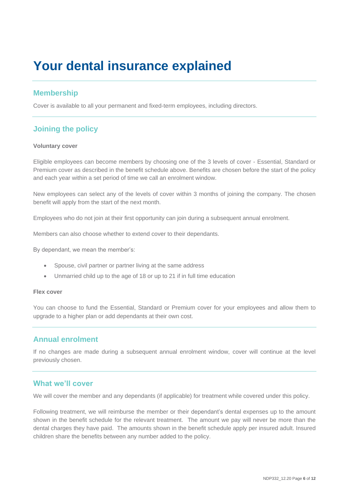## **Your dental insurance explained**

#### **Membership**

Cover is available to all your permanent and fixed-term employees, including directors.

### **Joining the policy**

#### **Voluntary cover**

Eligible employees can become members by choosing one of the 3 levels of cover - Essential, Standard or Premium cover as described in the benefit schedule above. Benefits are chosen before the start of the policy and each year within a set period of time we call an enrolment window.

New employees can select any of the levels of cover within 3 months of joining the company. The chosen benefit will apply from the start of the next month.

Employees who do not join at their first opportunity can join during a subsequent annual enrolment.

Members can also choose whether to extend cover to their dependants.

By dependant, we mean the member's:

- Spouse, civil partner or partner living at the same address
- Unmarried child up to the age of 18 or up to 21 if in full time education

#### **Flex cover**

You can choose to fund the Essential, Standard or Premium cover for your employees and allow them to upgrade to a higher plan or add dependants at their own cost.

#### **Annual enrolment**

If no changes are made during a subsequent annual enrolment window, cover will continue at the level previously chosen.

#### **What we'll cover**

We will cover the member and any dependants (if applicable) for treatment while covered under this policy.

Following treatment, we will reimburse the member or their dependant's dental expenses up to the amount shown in the benefit schedule for the relevant treatment. The amount we pay will never be more than the dental charges they have paid. The amounts shown in the benefit schedule apply per insured adult. Insured children share the benefits between any number added to the policy.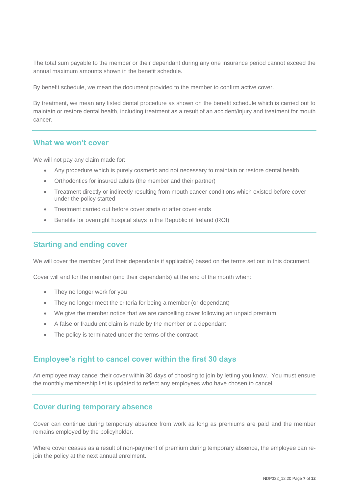The total sum payable to the member or their dependant during any one insurance period cannot exceed the annual maximum amounts shown in the benefit schedule.

By benefit schedule, we mean the document provided to the member to confirm active cover.

By treatment, we mean any listed dental procedure as shown on the benefit schedule which is carried out to maintain or restore dental health, including treatment as a result of an accident/injury and treatment for mouth cancer.

#### **What we won't cover**

We will not pay any claim made for:

- Any procedure which is purely cosmetic and not necessary to maintain or restore dental health
- Orthodontics for insured adults (the member and their partner)
- Treatment directly or indirectly resulting from mouth cancer conditions which existed before cover under the policy started
- Treatment carried out before cover starts or after cover ends
- Benefits for overnight hospital stays in the Republic of Ireland (ROI)

#### **Starting and ending cover**

We will cover the member (and their dependants if applicable) based on the terms set out in this document.

Cover will end for the member (and their dependants) at the end of the month when:

- They no longer work for you
- They no longer meet the criteria for being a member (or dependant)
- We give the member notice that we are cancelling cover following an unpaid premium
- A false or fraudulent claim is made by the member or a dependant
- The policy is terminated under the terms of the contract

#### **Employee's right to cancel cover within the first 30 days**

An employee may cancel their cover within 30 days of choosing to join by letting you know. You must ensure the monthly membership list is updated to reflect any employees who have chosen to cancel.

#### **Cover during temporary absence**

Cover can continue during temporary absence from work as long as premiums are paid and the member remains employed by the policyholder.

Where cover ceases as a result of non-payment of premium during temporary absence, the employee can rejoin the policy at the next annual enrolment.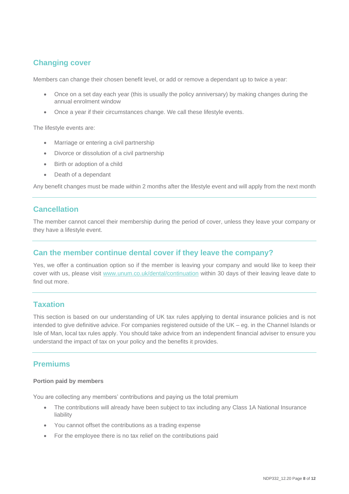### **Changing cover**

Members can change their chosen benefit level, or add or remove a dependant up to twice a year:

- Once on a set day each year (this is usually the policy anniversary) by making changes during the annual enrolment window
- Once a year if their circumstances change. We call these lifestyle events.

The lifestyle events are:

- Marriage or entering a civil partnership
- Divorce or dissolution of a civil partnership
- Birth or adoption of a child
- Death of a dependant

Any benefit changes must be made within 2 months after the lifestyle event and will apply from the next month

#### **Cancellation**

The member cannot cancel their membership during the period of cover, unless they leave your company or they have a lifestyle event.

#### **Can the member continue dental cover if they leave the company?**

Yes, we offer a continuation option so if the member is leaving your company and would like to keep their cover with us, please visit [www.unum.co.uk/dental/continuation](http://www.unum.co.uk/dental/continuation) within 30 days of their leaving leave date to find out more.

#### **Taxation**

This section is based on our understanding of UK tax rules applying to dental insurance policies and is not intended to give definitive advice. For companies registered outside of the UK – eg. in the Channel Islands or Isle of Man, local tax rules apply. You should take advice from an independent financial adviser to ensure you understand the impact of tax on your policy and the benefits it provides.

#### **Premiums**

#### **Portion paid by members**

You are collecting any members' contributions and paying us the total premium

- The contributions will already have been subject to tax including any Class 1A National Insurance liability
- You cannot offset the contributions as a trading expense
- For the employee there is no tax relief on the contributions paid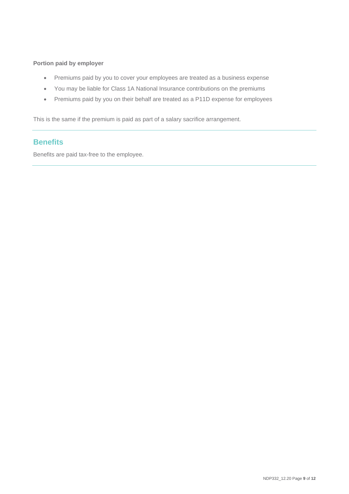#### **Portion paid by employer**

- Premiums paid by you to cover your employees are treated as a business expense
- You may be liable for Class 1A National Insurance contributions on the premiums
- Premiums paid by you on their behalf are treated as a P11D expense for employees

This is the same if the premium is paid as part of a salary sacrifice arrangement.

### **Benefits**

Benefits are paid tax-free to the employee.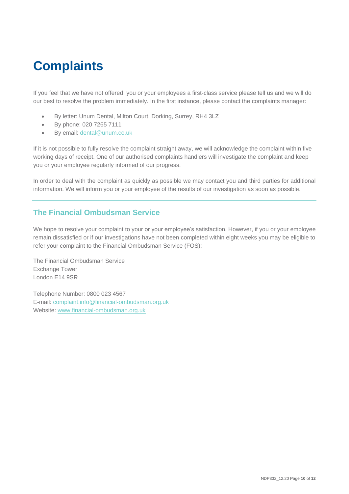# **Complaints**

If you feel that we have not offered, you or your employees a first-class service please tell us and we will do our best to resolve the problem immediately. In the first instance, please contact the complaints manager:

- By letter: Unum Dental, Milton Court, Dorking, Surrey, RH4 3LZ
- By phone: 020 7265 7111
- By email: [dental@unum.co.uk](mailto:dental@unum.co.uk)

If it is not possible to fully resolve the complaint straight away, we will acknowledge the complaint within five working days of receipt. One of our authorised complaints handlers will investigate the complaint and keep you or your employee regularly informed of our progress.

In order to deal with the complaint as quickly as possible we may contact you and third parties for additional information. We will inform you or your employee of the results of our investigation as soon as possible.

### **The Financial Ombudsman Service**

We hope to resolve your complaint to your or your employee's satisfaction. However, if you or your employee remain dissatisfied or if our investigations have not been completed within eight weeks you may be eligible to refer your complaint to the Financial Ombudsman Service (FOS):

The Financial Ombudsman Service Exchange Tower London E14 9SR

Telephone Number: 0800 023 4567 E-mail: [complaint.info@financial-ombudsman.org.uk](mailto:complaint.info@financial-ombudsman.org.uk) Website: [www.financial-ombudsman.org.uk](http://www.financial-ombudsman.org.uk/)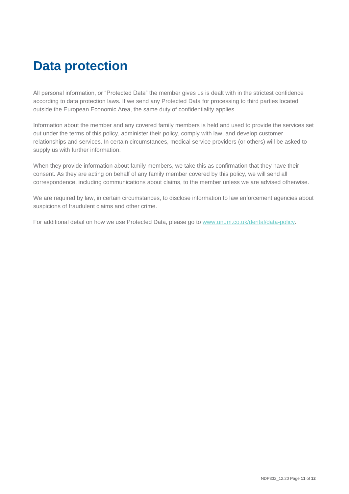## **Data protection**

All personal information, or "Protected Data" the member gives us is dealt with in the strictest confidence according to data protection laws. If we send any Protected Data for processing to third parties located outside the European Economic Area, the same duty of confidentiality applies.

Information about the member and any covered family members is held and used to provide the services set out under the terms of this policy, administer their policy, comply with law, and develop customer relationships and services. In certain circumstances, medical service providers (or others) will be asked to supply us with further information.

When they provide information about family members, we take this as confirmation that they have their consent. As they are acting on behalf of any family member covered by this policy, we will send all correspondence, including communications about claims, to the member unless we are advised otherwise.

We are required by law, in certain circumstances, to disclose information to law enforcement agencies about suspicions of fraudulent claims and other crime.

For additional detail on how we use Protected Data, please go to www.unum.co.uk/dental/data-policy.